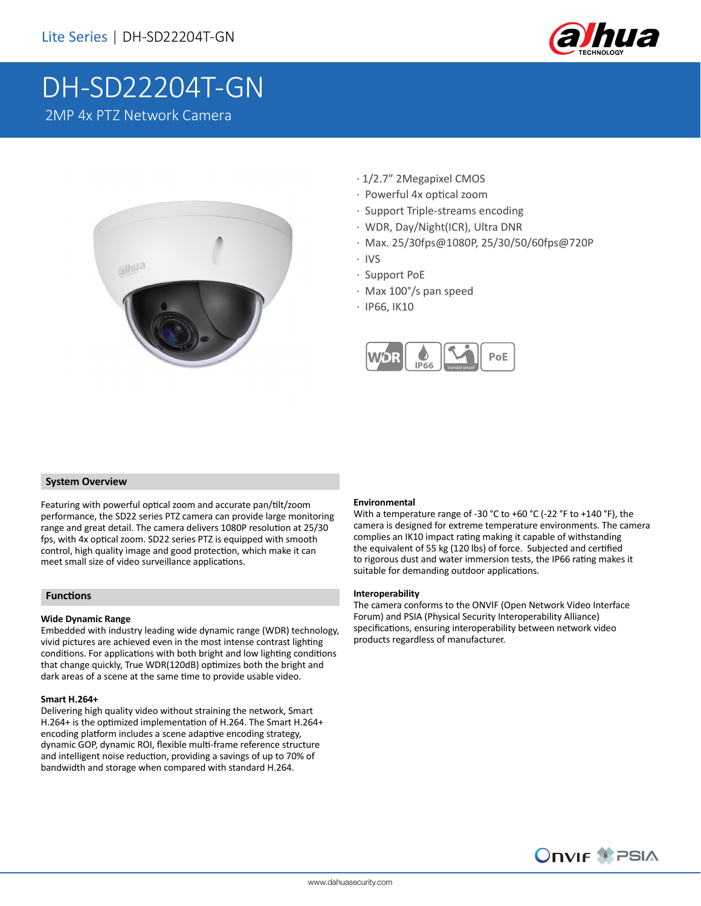

# DH-SD22204T-GN 2MP 4x PTZ Network Camera



- · 1/2.7" 2Megapixel CMOS
- · Powerful 4x optical zoom
- · Support Triple-streams encoding
- · WDR, Day/Night(ICR), Ultra DNR
- · Max. 25/30fps@1080P, 25/30/50/60fps@720P
- · IVS
- · Support PoE
- · Max 100°/s pan speed
- · IP66, IK10



### **System Overview**

Featuring with powerful optical zoom and accurate pan/tilt/zoom performance, the SD22 series PTZ camera can provide large monitoring range and great detail. The camera delivers 1080P resolution at 25/30 fps, with 4x optical zoom. SD22 series PTZ is equipped with smooth control, high quality image and good protection, which make it can meet small size of video surveillance applications.

### **Functions**

### **Wide Dynamic Range**

Embedded with industry leading wide dynamic range (WDR) technology, vivid pictures are achieved even in the most intense contrast lighting conditions. For applications with both bright and low lighting conditions that change quickly, True WDR(120dB) optimizes both the bright and dark areas of a scene at the same time to provide usable video.

### **Smart H.264+**

Delivering high quality video without straining the network, Smart H.264+ is the optimized implementation of H.264. The Smart H.264+ encoding platform includes a scene adaptive encoding strategy, dynamic GOP, dynamic ROI, flexible multi-frame reference structure and intelligent noise reduction, providing a savings of up to 70% of bandwidth and storage when compared with standard H.264.

### **Environmental**

With a temperature range of -30 °C to +60 °C (-22 °F to +140 °F), the camera is designed for extreme temperature environments. The camera complies an IK10 impact rating making it capable of withstanding the equivalent of 55 kg (120 lbs) of force. Subjected and certified to rigorous dust and water immersion tests, the IP66 rating makes it suitable for demanding outdoor applications.

#### **Interoperability**

The camera conforms to the ONVIF (Open Network Video Interface Forum) and PSIA (Physical Security Interoperability Alliance) specifications, ensuring interoperability between network video products regardless of manufacturer.

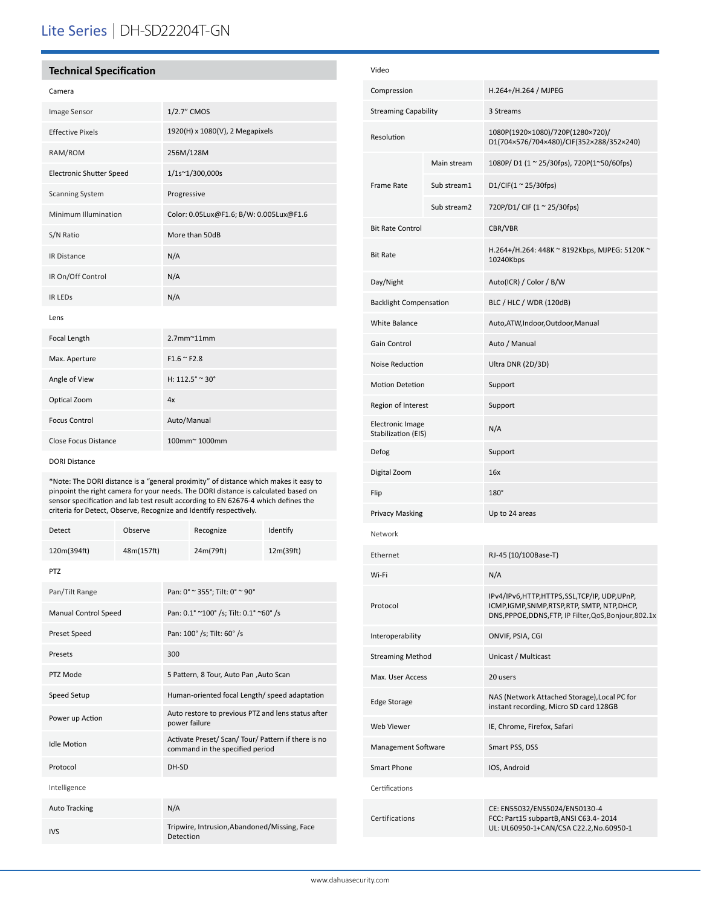# Lite Series | DH-SD22204T-GN

## **Technical Specification**

| Image Sensor                    | 1/2.7" CMOS                             |  |
|---------------------------------|-----------------------------------------|--|
| <b>Effective Pixels</b>         | 1920(H) x 1080(V), 2 Megapixels         |  |
| RAM/ROM                         | 256M/128M                               |  |
| <b>Electronic Shutter Speed</b> | 1/1s~1/300,000s                         |  |
| <b>Scanning System</b>          | Progressive                             |  |
| Minimum Illumination            | Color: 0.05Lux@F1.6; B/W: 0.005Lux@F1.6 |  |
| S/N Ratio                       | More than 50dB                          |  |
| <b>IR Distance</b>              | N/A                                     |  |
| IR On/Off Control               | N/A                                     |  |
| <b>IR LEDS</b>                  | N/A                                     |  |
| Lens                            |                                         |  |
| Focal Length                    | $2.7$ mm $^{\sim}$ 11mm                 |  |
| Max. Aperture                   | $F1.6 \approx F2.8$                     |  |
| Angle of View                   | H: $112.5^{\circ}$ ~ 30°                |  |
| Optical Zoom                    | 4x                                      |  |
| <b>Focus Control</b>            | Auto/Manual                             |  |
| Close Focus Distance            | 100mm~1000mm                            |  |

DORI Distance

\*Note: The DORI distance is a "general proximity" of distance which makes it easy to pinpoint the right camera for your needs. The DORI distance is calculated based on sensor specification and lab test result according to EN 62676-4 which defines the criteria for Detect, Observe, Recognize and Identify respectively.

| <b>Detect</b>               | Observe    |                                                                                        | Recognize                               | Identify  |
|-----------------------------|------------|----------------------------------------------------------------------------------------|-----------------------------------------|-----------|
| 120m(394ft)                 | 48m(157ft) |                                                                                        | 24m(79ft)                               | 12m(39ft) |
| <b>PTZ</b>                  |            |                                                                                        |                                         |           |
| Pan/Tilt Range              |            | Pan: 0° ~ 355°; Tilt: 0° ~ 90°                                                         |                                         |           |
| <b>Manual Control Speed</b> |            | Pan: 0.1° ~100° /s; Tilt: 0.1° ~60° /s                                                 |                                         |           |
| <b>Preset Speed</b>         |            |                                                                                        | Pan: 100° /s; Tilt: 60° /s              |           |
| Presets                     |            | 300                                                                                    |                                         |           |
| PTZ Mode                    |            |                                                                                        | 5 Pattern, 8 Tour, Auto Pan , Auto Scan |           |
| Speed Setup                 |            | Human-oriented focal Length/ speed adaptation                                          |                                         |           |
| Power up Action             |            | Auto restore to previous PTZ and lens status after<br>power failure                    |                                         |           |
| <b>Idle Motion</b>          |            | Activate Preset/ Scan/ Tour/ Pattern if there is no<br>command in the specified period |                                         |           |
| Protocol                    |            | DH-SD                                                                                  |                                         |           |
| Intelligence                |            |                                                                                        |                                         |           |
| <b>Auto Tracking</b>        |            | N/A                                                                                    |                                         |           |
| <b>IVS</b>                  |            | Tripwire, Intrusion, Abandoned/Missing, Face<br>Detection                              |                                         |           |

| Video                                          |             |                                                                                                                                                       |  |
|------------------------------------------------|-------------|-------------------------------------------------------------------------------------------------------------------------------------------------------|--|
| Compression                                    |             | H.264+/H.264 / MJPEG                                                                                                                                  |  |
| <b>Streaming Capability</b>                    |             | 3 Streams                                                                                                                                             |  |
| Resolution                                     |             | 1080P(1920×1080)/720P(1280×720)/<br>D1(704×576/704×480)/CIF(352×288/352×240)                                                                          |  |
| <b>Frame Rate</b>                              | Main stream | 1080P/D1 (1~25/30fps), 720P(1~50/60fps)                                                                                                               |  |
|                                                | Sub stream1 | D1/CIF(1 $\approx$ 25/30fps)                                                                                                                          |  |
|                                                | Sub stream2 | 720P/D1/ CIF (1 ~ 25/30fps)                                                                                                                           |  |
| <b>Bit Rate Control</b>                        |             | CBR/VBR                                                                                                                                               |  |
| <b>Bit Rate</b>                                |             | H.264+/H.264: 448K ~ 8192Kbps, MJPEG: 5120K ~<br>10240Kbps                                                                                            |  |
| Day/Night                                      |             | Auto(ICR) / Color / B/W                                                                                                                               |  |
| <b>Backlight Compensation</b>                  |             | BLC / HLC / WDR (120dB)                                                                                                                               |  |
| <b>White Balance</b>                           |             | Auto, ATW, Indoor, Outdoor, Manual                                                                                                                    |  |
| <b>Gain Control</b>                            |             | Auto / Manual                                                                                                                                         |  |
| Noise Reduction                                |             | Ultra DNR (2D/3D)                                                                                                                                     |  |
| <b>Motion Detetion</b>                         |             | Support                                                                                                                                               |  |
| Region of Interest                             |             | Support                                                                                                                                               |  |
| <b>Electronic Image</b><br>Stabilization (EIS) |             | N/A                                                                                                                                                   |  |
| Defog                                          |             | Support                                                                                                                                               |  |
| Digital Zoom                                   |             | 16x                                                                                                                                                   |  |
| Flip                                           |             | $180^\circ$                                                                                                                                           |  |
| Privacy Masking                                |             | Up to 24 areas                                                                                                                                        |  |
| Network                                        |             |                                                                                                                                                       |  |
| Ethernet                                       |             | RJ-45 (10/100Base-T)                                                                                                                                  |  |
| Wi-Fi                                          |             | N/A                                                                                                                                                   |  |
| Protocol                                       |             | IPv4/IPv6,HTTP,HTTPS,SSL,TCP/IP, UDP,UPnP,<br>ICMP, IGMP, SNMP, RTSP, RTP, SMTP, NTP, DHCP,<br>DNS, PPPOE, DDNS, FTP, IP Filter, QoS, Bonjour, 802.1x |  |
| Interoperability                               |             | ONVIF, PSIA, CGI                                                                                                                                      |  |
| <b>Streaming Method</b>                        |             | Unicast / Multicast                                                                                                                                   |  |
| Max. User Access                               |             | 20 users                                                                                                                                              |  |
| <b>Edge Storage</b>                            |             | NAS (Network Attached Storage), Local PC for<br>instant recording, Micro SD card 128GB                                                                |  |
| <b>Web Viewer</b>                              |             | IE, Chrome, Firefox, Safari                                                                                                                           |  |
| Management Software                            |             | Smart PSS, DSS                                                                                                                                        |  |
| <b>Smart Phone</b>                             |             | IOS, Android                                                                                                                                          |  |
| Certifications                                 |             |                                                                                                                                                       |  |
| Certifications                                 |             | CE: EN55032/EN55024/EN50130-4<br>FCC: Part15 subpartB, ANSI C63.4-2014<br>UL: UL60950-1+CAN/CSA C22.2, No.60950-1                                     |  |